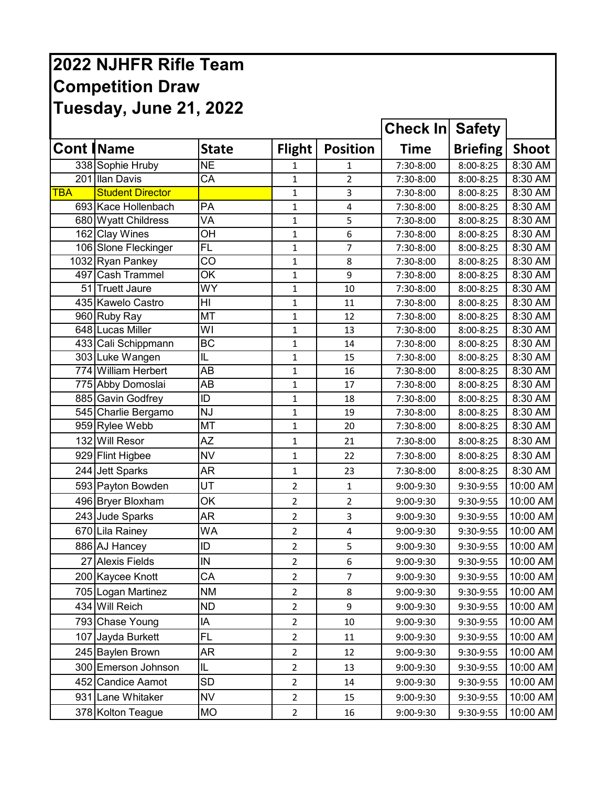## **2022 NJHFR Rifle Team Competition Draw Tuesday, June 21, 2022**

|            |                         |                          |                |                 | <b>Check In Safety</b> |                 |              |
|------------|-------------------------|--------------------------|----------------|-----------------|------------------------|-----------------|--------------|
|            | <b>Cont   Name</b>      | <b>State</b>             | <b>Flight</b>  | <b>Position</b> | <b>Time</b>            | <b>Briefing</b> | <b>Shoot</b> |
|            | 338 Sophie Hruby        | <b>NE</b>                | 1              | 1               | 7:30-8:00              | 8:00-8:25       | 8:30 AM      |
|            | 201 Ilan Davis          | $\overline{\mathsf{CA}}$ | $\mathbf 1$    | $\overline{2}$  | 7:30-8:00              | 8:00-8:25       | 8:30 AM      |
| <b>TBA</b> | <b>Student Director</b> |                          | $\mathbf{1}$   | 3               | 7:30-8:00              | 8:00-8:25       | 8:30 AM      |
|            | 693 Kace Hollenbach     | PA                       | 1              | 4               | 7:30-8:00              | 8:00-8:25       | 8:30 AM      |
|            | 680 Wyatt Childress     | VA                       | $\mathbf 1$    | 5               | 7:30-8:00              | 8:00-8:25       | 8:30 AM      |
|            | 162 Clay Wines          | OH                       | 1              | 6               | 7:30-8:00              | 8:00-8:25       | 8:30 AM      |
|            | 106 Slone Fleckinger    | $\overline{FL}$          | 1              | 7               | 7:30-8:00              | 8:00-8:25       | 8:30 AM      |
|            | 1032 Ryan Pankey        | CO                       | $\mathbf{1}$   | 8               | 7:30-8:00              | 8:00-8:25       | 8:30 AM      |
|            | 497 Cash Trammel        | OK                       | $\mathbf 1$    | 9               | 7:30-8:00              | 8:00-8:25       | 8:30 AM      |
|            | 51 Truett Jaure         | WY                       | 1              | 10              | 7:30-8:00              | 8:00-8:25       | 8:30 AM      |
|            | 435 Kawelo Castro       | H <sub>l</sub>           | 1              | 11              | 7:30-8:00              | 8:00-8:25       | 8:30 AM      |
|            | 960 Ruby Ray            | MT                       | $\mathbf 1$    | 12              | 7:30-8:00              | 8:00-8:25       | 8:30 AM      |
|            | 648 Lucas Miller        | WI                       | $\mathbf{1}$   | 13              | 7:30-8:00              | 8:00-8:25       | 8:30 AM      |
|            | 433 Cali Schippmann     | <b>BC</b>                | $\mathbf 1$    | 14              | 7:30-8:00              | 8:00-8:25       | 8:30 AM      |
|            | 303 Luke Wangen         | IL                       | $\mathbf{1}$   | 15              | 7:30-8:00              | 8:00-8:25       | 8:30 AM      |
|            | 774 William Herbert     | AB                       | 1              | 16              | 7:30-8:00              | 8:00-8:25       | 8:30 AM      |
|            | 775 Abby Domoslai       | AB                       | 1              | 17              | 7:30-8:00              | 8:00-8:25       | 8:30 AM      |
|            | 885 Gavin Godfrey       | ID                       | $\mathbf 1$    | 18              | 7:30-8:00              | 8:00-8:25       | 8:30 AM      |
|            | 545 Charlie Bergamo     | <b>NJ</b>                | $\mathbf 1$    | 19              | 7:30-8:00              | 8:00-8:25       | 8:30 AM      |
|            | 959 Rylee Webb          | MT                       | $\mathbf{1}$   | 20              | 7:30-8:00              | 8:00-8:25       | 8:30 AM      |
|            | 132 Will Resor          | ΑZ                       | 1              | 21              | 7:30-8:00              | 8:00-8:25       | 8:30 AM      |
|            | 929 Flint Higbee        | <b>NV</b>                | 1              | 22              | 7:30-8:00              | 8:00-8:25       | 8:30 AM      |
|            | 244 Jett Sparks         | <b>AR</b>                | $\mathbf{1}$   | 23              | 7:30-8:00              | 8:00-8:25       | 8:30 AM      |
|            | 593 Payton Bowden       | UT                       | $\overline{2}$ | $\mathbf{1}$    | 9:00-9:30              | 9:30-9:55       | 10:00 AM     |
|            | 496 Bryer Bloxham       | OK                       | $\overline{2}$ | $\overline{2}$  | 9:00-9:30              | 9:30-9:55       | 10:00 AM     |
|            | 243 Jude Sparks         | <b>AR</b>                | $\overline{2}$ | 3               | 9:00-9:30              | 9:30-9:55       | 10:00 AM     |
|            | 670 Lila Rainey         | WA                       | $\overline{2}$ | $\pmb{4}$       | 9:00-9:30              | 9:30-9:55       | 10:00 AM     |
|            | 886 AJ Hancey           | ID                       | $\overline{2}$ | 5               | 9:00-9:30              | 9:30-9:55       | 10:00 AM     |
|            | 27 Alexis Fields        | IN                       | $\overline{2}$ | 6               | 9:00-9:30              | 9:30-9:55       | 10:00 AM     |
|            | 200 Kaycee Knott        | CA                       | $\overline{2}$ | 7               | 9:00-9:30              | 9:30-9:55       | 10:00 AM     |
|            | 705 Logan Martinez      | <b>NM</b>                | $\overline{2}$ | 8               | 9:00-9:30              | 9:30-9:55       | 10:00 AM     |
|            | 434 Will Reich          | ND.                      | $\overline{2}$ | 9               | 9:00-9:30              | 9:30-9:55       | 10:00 AM     |
|            | 793 Chase Young         | IA                       | $\overline{2}$ | 10              | 9:00-9:30              | 9:30-9:55       | 10:00 AM     |
|            | 107 Jayda Burkett       | <b>FL</b>                | $\overline{2}$ | 11              | 9:00-9:30              | 9:30-9:55       | 10:00 AM     |
|            | 245 Baylen Brown        | AR                       | $\overline{2}$ | 12              | 9:00-9:30              | 9:30-9:55       | 10:00 AM     |
|            | 300 Emerson Johnson     | IL                       | $\overline{2}$ | 13              | 9:00-9:30              | 9:30-9:55       | 10:00 AM     |
|            | 452 Candice Aamot       | SD                       | $\overline{2}$ | 14              | 9:00-9:30              | 9:30-9:55       | 10:00 AM     |
|            | 931 Lane Whitaker       | <b>NV</b>                | $\overline{2}$ | 15              | 9:00-9:30              | 9:30-9:55       | 10:00 AM     |
|            | 378 Kolton Teague       | <b>MO</b>                | $\overline{2}$ | 16              | 9:00-9:30              | 9:30-9:55       | 10:00 AM     |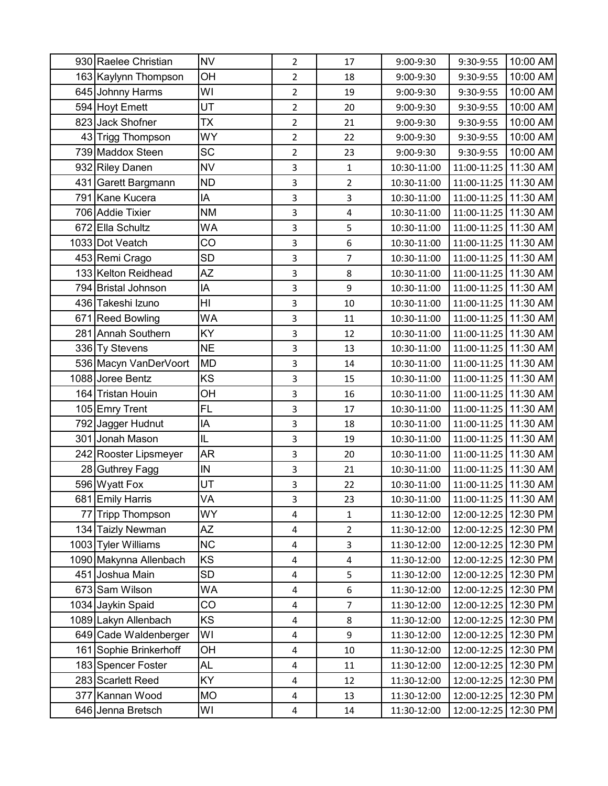|    | 930 Raelee Christian   | <b>NV</b>      | $\overline{2}$ | 17                      | 9:00-9:30   | 9:30-9:55            | 10:00 AM |
|----|------------------------|----------------|----------------|-------------------------|-------------|----------------------|----------|
|    | 163 Kaylynn Thompson   | OH             | $\overline{2}$ | 18                      | 9:00-9:30   | 9:30-9:55            | 10:00 AM |
|    | 645 Johnny Harms       | WI             | $\overline{2}$ | 19                      | 9:00-9:30   | 9:30-9:55            | 10:00 AM |
|    | 594 Hoyt Emett         | UT             | $\overline{2}$ | 20                      | 9:00-9:30   | 9:30-9:55            | 10:00 AM |
|    | 823 Jack Shofner       | <b>TX</b>      | $\overline{2}$ | 21                      | 9:00-9:30   | 9:30-9:55            | 10:00 AM |
|    | 43 Trigg Thompson      | <b>WY</b>      | $\overline{2}$ | 22                      | 9:00-9:30   | 9:30-9:55            | 10:00 AM |
|    | 739 Maddox Steen       | SC             | $\overline{2}$ | 23                      | 9:00-9:30   | 9:30-9:55            | 10:00 AM |
|    | 932 Riley Danen        | <b>NV</b>      | 3              | $\mathbf 1$             | 10:30-11:00 | 11:00-11:25          | 11:30 AM |
|    | 431 Garett Bargmann    | <b>ND</b>      | 3              | $\overline{2}$          | 10:30-11:00 | 11:00-11:25 11:30 AM |          |
|    | 791 Kane Kucera        | IA             | 3              | 3                       | 10:30-11:00 | 11:00-11:25          | 11:30 AM |
|    | 706 Addie Tixier       | <b>NM</b>      | 3              | $\overline{\mathbf{4}}$ | 10:30-11:00 | 11:00-11:25 11:30 AM |          |
|    | 672 Ella Schultz       | WA             | 3              | 5                       | 10:30-11:00 | 11:00-11:25          | 11:30 AM |
|    | 1033 Dot Veatch        | CO             | 3              | $\boldsymbol{6}$        | 10:30-11:00 | 11:00-11:25 11:30 AM |          |
|    | 453 Remi Crago         | <b>SD</b>      | 3              | $\overline{7}$          | 10:30-11:00 | 11:00-11:25          | 11:30 AM |
|    | 133 Kelton Reidhead    | ΑZ             | 3              | 8                       | 10:30-11:00 | 11:00-11:25 11:30 AM |          |
|    | 794 Bristal Johnson    | IA             | 3              | 9                       | 10:30-11:00 | 11:00-11:25 11:30 AM |          |
|    | 436 Takeshi Izuno      | H <sub>l</sub> | 3              | 10                      | 10:30-11:00 | 11:00-11:25          | 11:30 AM |
|    | 671 Reed Bowling       | WA             | 3              | 11                      | 10:30-11:00 | 11:00-11:25          | 11:30 AM |
|    | 281 Annah Southern     | KY             | 3              | 12                      | 10:30-11:00 | 11:00-11:25 11:30 AM |          |
|    | 336 Ty Stevens         | <b>NE</b>      | 3              | 13                      | 10:30-11:00 | 11:00-11:25 11:30 AM |          |
|    | 536 Macyn VanDerVoort  | <b>MD</b>      | 3              | 14                      | 10:30-11:00 | 11:00-11:25          | 11:30 AM |
|    | 1088 Joree Bentz       | KS             | 3              | 15                      | 10:30-11:00 | 11:00-11:25 11:30 AM |          |
|    | 164 Tristan Houin      | OH             | 3              | 16                      | 10:30-11:00 | 11:00-11:25          | 11:30 AM |
|    | 105 Emry Trent         | <b>FL</b>      | 3              | 17                      | 10:30-11:00 | 11:00-11:25 11:30 AM |          |
|    | 792 Jagger Hudnut      | IA             | 3              | 18                      | 10:30-11:00 | 11:00-11:25          | 11:30 AM |
|    | 301 Jonah Mason        | IL             | 3              | 19                      | 10:30-11:00 | 11:00-11:25 11:30 AM |          |
|    | 242 Rooster Lipsmeyer  | <b>AR</b>      | 3              | 20                      | 10:30-11:00 | 11:00-11:25          | 11:30 AM |
|    | 28 Guthrey Fagg        | IN             | 3              | 21                      | 10:30-11:00 | 11:00-11:25 11:30 AM |          |
|    | 596 Wyatt Fox          | UT             | 3              | 22                      | 10:30-11:00 | 11:00-11:25 11:30 AM |          |
|    | 681 Emily Harris       | VA             | 3              | 23                      | 10:30-11:00 | 11:00-11:25 11:30 AM |          |
| 77 | Tripp Thompson         | WY             | 4              | 1                       | 11:30-12:00 | 12:00-12:25          | 12:30 PM |
|    | 134 Taizly Newman      | ΑZ             | 4              | $\overline{2}$          | 11:30-12:00 | 12:00-12:25          | 12:30 PM |
|    | 1003 Tyler Williams    | <b>NC</b>      | 4              | 3                       | 11:30-12:00 | 12:00-12:25          | 12:30 PM |
|    | 1090 Makynna Allenbach | KS             | 4              | $\overline{\mathbf{4}}$ | 11:30-12:00 | 12:00-12:25          | 12:30 PM |
|    | 451 Joshua Main        | <b>SD</b>      | 4              | 5                       | 11:30-12:00 | 12:00-12:25          | 12:30 PM |
|    | 673 Sam Wilson         | WA             | 4              | 6                       | 11:30-12:00 | 12:00-12:25          | 12:30 PM |
|    | 1034 Jaykin Spaid      | CO             | 4              | $\overline{7}$          | 11:30-12:00 | 12:00-12:25          | 12:30 PM |
|    | 1089 Lakyn Allenbach   | KS             | 4              | 8                       | 11:30-12:00 | 12:00-12:25          | 12:30 PM |
|    | 649 Cade Waldenberger  | WI             | 4              | 9                       | 11:30-12:00 | 12:00-12:25          | 12:30 PM |
|    | 161 Sophie Brinkerhoff | ОH             | 4              | 10                      | 11:30-12:00 | 12:00-12:25          | 12:30 PM |
|    | 183 Spencer Foster     | AL             | 4              | $11\,$                  | 11:30-12:00 | 12:00-12:25          | 12:30 PM |
|    | 283 Scarlett Reed      | KY             | 4              | 12                      | 11:30-12:00 | 12:00-12:25          | 12:30 PM |
|    | 377 Kannan Wood        | <b>MO</b>      | 4              | 13                      | 11:30-12:00 | 12:00-12:25          | 12:30 PM |
|    | 646 Jenna Bretsch      | WI             | 4              | 14                      | 11:30-12:00 | 12:00-12:25          | 12:30 PM |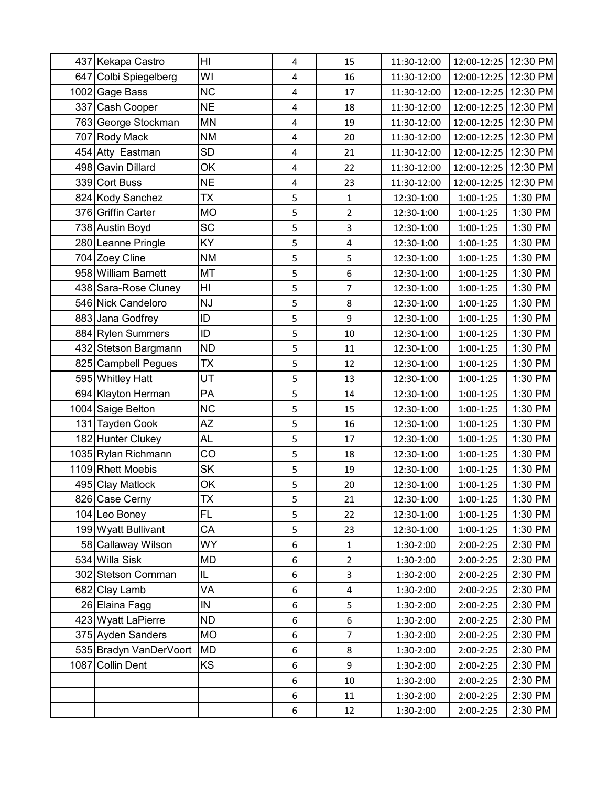| 437 Kekapa Castro      | HI        | 4 | 15             | 11:30-12:00 | 12:00-12:25            | 12:30 PM |
|------------------------|-----------|---|----------------|-------------|------------------------|----------|
| 647 Colbi Spiegelberg  | WI        | 4 | 16             | 11:30-12:00 | 12:00-12:25   12:30 PM |          |
| 1002 Gage Bass         | <b>NC</b> | 4 | 17             | 11:30-12:00 | 12:00-12:25            | 12:30 PM |
| 337 Cash Cooper        | <b>NE</b> | 4 | 18             | 11:30-12:00 | 12:00-12:25 12:30 PM   |          |
| 763 George Stockman    | <b>MN</b> | 4 | 19             | 11:30-12:00 | 12:00-12:25            | 12:30 PM |
| 707 Rody Mack          | <b>NM</b> | 4 | 20             | 11:30-12:00 | 12:00-12:25            | 12:30 PM |
| 454 Atty Eastman       | <b>SD</b> | 4 | 21             | 11:30-12:00 | 12:00-12:25            | 12:30 PM |
| 498 Gavin Dillard      | OK        | 4 | 22             | 11:30-12:00 | 12:00-12:25 12:30 PM   |          |
| 339 Cort Buss          | <b>NE</b> | 4 | 23             | 11:30-12:00 | 12:00-12:25            | 12:30 PM |
| 824 Kody Sanchez       | <b>TX</b> | 5 | 1              | 12:30-1:00  | $1:00-1:25$            | 1:30 PM  |
| 376 Griffin Carter     | <b>MO</b> | 5 | $\overline{2}$ | 12:30-1:00  | $1:00-1:25$            | 1:30 PM  |
| 738 Austin Boyd        | <b>SC</b> | 5 | 3              | 12:30-1:00  | $1:00-1:25$            | 1:30 PM  |
| 280 Leanne Pringle     | <b>KY</b> | 5 | 4              | 12:30-1:00  | $1:00-1:25$            | 1:30 PM  |
| 704 Zoey Cline         | <b>NM</b> | 5 | 5              | 12:30-1:00  | $1:00-1:25$            | 1:30 PM  |
| 958 William Barnett    | <b>MT</b> | 5 | 6              | 12:30-1:00  | $1:00-1:25$            | 1:30 PM  |
| 438 Sara-Rose Cluney   | HI        | 5 | 7              | 12:30-1:00  | $1:00-1:25$            | 1:30 PM  |
| 546 Nick Candeloro     | <b>NJ</b> | 5 | 8              | 12:30-1:00  | $1:00-1:25$            | 1:30 PM  |
| 883 Jana Godfrey       | ID        | 5 | 9              | 12:30-1:00  | $1:00-1:25$            | 1:30 PM  |
| 884 Rylen Summers      | ID        | 5 | 10             | 12:30-1:00  | $1:00-1:25$            | 1:30 PM  |
| 432 Stetson Bargmann   | <b>ND</b> | 5 | 11             | 12:30-1:00  | $1:00-1:25$            | 1:30 PM  |
| 825 Campbell Pegues    | TX        | 5 | 12             | 12:30-1:00  | $1:00-1:25$            | 1:30 PM  |
| 595 Whitley Hatt       | UT        | 5 | 13             | 12:30-1:00  | $1:00-1:25$            | 1:30 PM  |
| 694 Klayton Herman     | PA        | 5 | 14             | 12:30-1:00  | $1:00-1:25$            | 1:30 PM  |
| 1004 Saige Belton      | <b>NC</b> | 5 | 15             | 12:30-1:00  | $1:00-1:25$            | 1:30 PM  |
| 131 Tayden Cook        | ΑZ        | 5 | 16             | 12:30-1:00  | $1:00-1:25$            | 1:30 PM  |
| 182 Hunter Clukey      | AL        | 5 | 17             | 12:30-1:00  | $1:00-1:25$            | 1:30 PM  |
| 1035 Rylan Richmann    | CO        | 5 | 18             | 12:30-1:00  | $1:00-1:25$            | 1:30 PM  |
| 1109 Rhett Moebis      | <b>SK</b> | 5 | 19             | 12:30-1:00  | $1:00-1:25$            | 1:30 PM  |
| 495 Clay Matlock       | OK        | 5 | 20             | 12:30-1:00  | $1:00-1:25$            | 1:30 PM  |
| 826 Case Cerny         | <b>TX</b> | 5 | 21             | 12:30-1:00  | 1:00-1:25              | 1:30 PM  |
| 104 Leo Boney          | FL        | 5 | 22             | 12:30-1:00  | 1:00-1:25              | 1:30 PM  |
| 199 Wyatt Bullivant    | СA        | 5 | 23             | 12:30-1:00  | $1:00-1:25$            | 1:30 PM  |
| 58 Callaway Wilson     | WY.       | 6 | $\mathbf{1}$   | 1:30-2:00   | 2:00-2:25              | 2:30 PM  |
| 534 Willa Sisk         | MD        | 6 | $\overline{2}$ | 1:30-2:00   | 2:00-2:25              | 2:30 PM  |
| 302 Stetson Cornman    | IL        | 6 | 3              | 1:30-2:00   | $2:00-2:25$            | 2:30 PM  |
| 682 Clay Lamb          | VA        | 6 | 4              | 1:30-2:00   | 2:00-2:25              | 2:30 PM  |
| 26 Elaina Fagg         | IN        | 6 | 5              | 1:30-2:00   | $2:00-2:25$            | 2:30 PM  |
| 423 Wyatt LaPierre     | <b>ND</b> | 6 | 6              | 1:30-2:00   | 2:00-2:25              | 2:30 PM  |
| 375 Ayden Sanders      | MO        | 6 | $\overline{7}$ | 1:30-2:00   | 2:00-2:25              | 2:30 PM  |
| 535 Bradyn VanDerVoort | MD        | 6 | 8              | 1:30-2:00   | 2:00-2:25              | 2:30 PM  |
| 1087 Collin Dent       | KS        | 6 | 9              | 1:30-2:00   | 2:00-2:25              | 2:30 PM  |
|                        |           | 6 | 10             | 1:30-2:00   | 2:00-2:25              | 2:30 PM  |
|                        |           | 6 | 11             | 1:30-2:00   | 2:00-2:25              | 2:30 PM  |
|                        |           | 6 | 12             | 1:30-2:00   | 2:00-2:25              | 2:30 PM  |